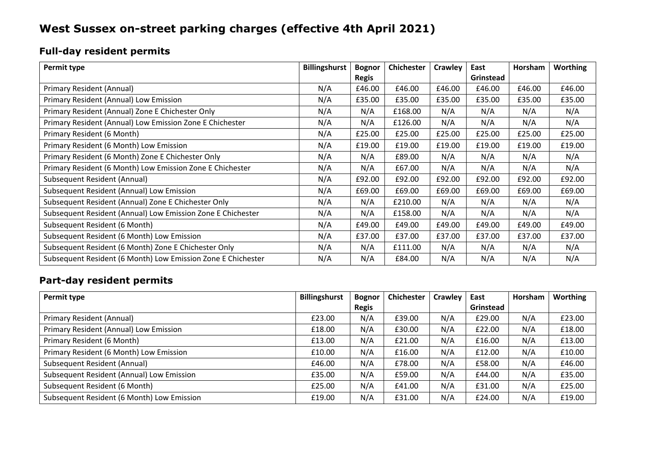# **West Sussex on-street parking charges (effective 4th April 2021)**

## **Full-day resident permits**

| Permit type                                                  | <b>Billingshurst</b> | <b>Bognor</b> | <b>Chichester</b> | Crawley | East      | Horsham | <b>Worthing</b> |
|--------------------------------------------------------------|----------------------|---------------|-------------------|---------|-----------|---------|-----------------|
|                                                              |                      | <b>Regis</b>  |                   |         | Grinstead |         |                 |
| Primary Resident (Annual)                                    | N/A                  | £46.00        | £46.00            | £46.00  | £46.00    | £46.00  | £46.00          |
| Primary Resident (Annual) Low Emission                       | N/A                  | £35.00        | £35.00            | £35.00  | £35.00    | £35.00  | £35.00          |
| Primary Resident (Annual) Zone E Chichester Only             | N/A                  | N/A           | £168.00           | N/A     | N/A       | N/A     | N/A             |
| Primary Resident (Annual) Low Emission Zone E Chichester     | N/A                  | N/A           | £126.00           | N/A     | N/A       | N/A     | N/A             |
| Primary Resident (6 Month)                                   | N/A                  | £25.00        | £25.00            | £25.00  | £25.00    | £25.00  | £25.00          |
| Primary Resident (6 Month) Low Emission                      | N/A                  | £19.00        | £19.00            | £19.00  | £19.00    | £19.00  | £19.00          |
| Primary Resident (6 Month) Zone E Chichester Only            | N/A                  | N/A           | £89.00            | N/A     | N/A       | N/A     | N/A             |
| Primary Resident (6 Month) Low Emission Zone E Chichester    | N/A                  | N/A           | £67.00            | N/A     | N/A       | N/A     | N/A             |
| Subsequent Resident (Annual)                                 | N/A                  | £92.00        | £92.00            | £92.00  | £92.00    | £92.00  | £92.00          |
| Subsequent Resident (Annual) Low Emission                    | N/A                  | £69.00        | £69.00            | £69.00  | £69.00    | £69.00  | £69.00          |
| Subsequent Resident (Annual) Zone E Chichester Only          | N/A                  | N/A           | £210.00           | N/A     | N/A       | N/A     | N/A             |
| Subsequent Resident (Annual) Low Emission Zone E Chichester  | N/A                  | N/A           | £158.00           | N/A     | N/A       | N/A     | N/A             |
| Subsequent Resident (6 Month)                                | N/A                  | £49.00        | £49.00            | £49.00  | £49.00    | £49.00  | £49.00          |
| Subsequent Resident (6 Month) Low Emission                   | N/A                  | £37.00        | £37.00            | £37.00  | £37.00    | £37.00  | £37.00          |
| Subsequent Resident (6 Month) Zone E Chichester Only         | N/A                  | N/A           | £111.00           | N/A     | N/A       | N/A     | N/A             |
| Subsequent Resident (6 Month) Low Emission Zone E Chichester | N/A                  | N/A           | £84.00            | N/A     | N/A       | N/A     | N/A             |

#### **Part-day resident permits**

| Permit type                                | <b>Billingshurst</b> | <b>Bognor</b> | <b>Chichester</b> | Crawley | East      | Horsham | <b>Worthing</b> |
|--------------------------------------------|----------------------|---------------|-------------------|---------|-----------|---------|-----------------|
|                                            |                      | <b>Regis</b>  |                   |         | Grinstead |         |                 |
| Primary Resident (Annual)                  | £23.00               | N/A           | £39.00            | N/A     | £29.00    | N/A     | £23.00          |
| Primary Resident (Annual) Low Emission     | £18.00               | N/A           | £30.00            | N/A     | £22.00    | N/A     | £18.00          |
| Primary Resident (6 Month)                 | £13.00               | N/A           | £21.00            | N/A     | £16.00    | N/A     | £13.00          |
| Primary Resident (6 Month) Low Emission    | £10.00               | N/A           | £16.00            | N/A     | £12.00    | N/A     | £10.00          |
| Subsequent Resident (Annual)               | £46.00               | N/A           | £78.00            | N/A     | £58.00    | N/A     | £46.00          |
| Subsequent Resident (Annual) Low Emission  | £35.00               | N/A           | £59.00            | N/A     | £44.00    | N/A     | £35.00          |
| Subsequent Resident (6 Month)              | £25.00               | N/A           | £41.00            | N/A     | £31.00    | N/A     | £25.00          |
| Subsequent Resident (6 Month) Low Emission | £19.00               | N/A           | £31.00            | N/A     | £24.00    | N/A     | £19.00          |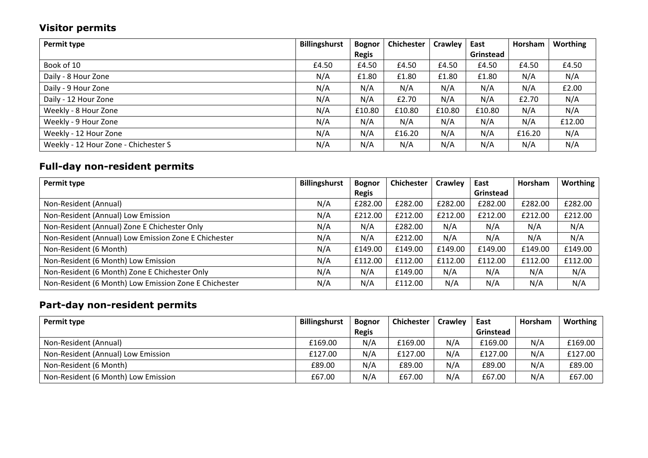## **Visitor permits**

| Permit type                          | <b>Billingshurst</b> | <b>Bognor</b> | Chichester | Crawley | East      | Horsham | <b>Worthing</b> |
|--------------------------------------|----------------------|---------------|------------|---------|-----------|---------|-----------------|
|                                      |                      | <b>Regis</b>  |            |         | Grinstead |         |                 |
| Book of 10                           | £4.50                | £4.50         | £4.50      | £4.50   | £4.50     | £4.50   | £4.50           |
| Daily - 8 Hour Zone                  | N/A                  | £1.80         | £1.80      | £1.80   | £1.80     | N/A     | N/A             |
| Daily - 9 Hour Zone                  | N/A                  | N/A           | N/A        | N/A     | N/A       | N/A     | £2.00           |
| Daily - 12 Hour Zone                 | N/A                  | N/A           | £2.70      | N/A     | N/A       | £2.70   | N/A             |
| Weekly - 8 Hour Zone                 | N/A                  | £10.80        | £10.80     | £10.80  | £10.80    | N/A     | N/A             |
| Weekly - 9 Hour Zone                 | N/A                  | N/A           | N/A        | N/A     | N/A       | N/A     | £12.00          |
| Weekly - 12 Hour Zone                | N/A                  | N/A           | £16.20     | N/A     | N/A       | £16.20  | N/A             |
| Weekly - 12 Hour Zone - Chichester S | N/A                  | N/A           | N/A        | N/A     | N/A       | N/A     | N/A             |

## **Full-day non-resident permits**

| Permit type                                           | <b>Billingshurst</b> | <b>Bognor</b> | <b>Chichester</b> | Crawley | East      | Horsham | Worthing |
|-------------------------------------------------------|----------------------|---------------|-------------------|---------|-----------|---------|----------|
|                                                       |                      | <b>Regis</b>  |                   |         | Grinstead |         |          |
| Non-Resident (Annual)                                 | N/A                  | £282.00       | £282.00           | £282.00 | £282.00   | £282.00 | £282.00  |
| Non-Resident (Annual) Low Emission                    | N/A                  | £212.00       | £212.00           | £212.00 | £212.00   | £212.00 | £212.00  |
| Non-Resident (Annual) Zone E Chichester Only          | N/A                  | N/A           | £282.00           | N/A     | N/A       | N/A     | N/A      |
| Non-Resident (Annual) Low Emission Zone E Chichester  | N/A                  | N/A           | £212.00           | N/A     | N/A       | N/A     | N/A      |
| Non-Resident (6 Month)                                | N/A                  | £149.00       | £149.00           | £149.00 | £149.00   | £149.00 | £149.00  |
| Non-Resident (6 Month) Low Emission                   | N/A                  | £112.00       | £112.00           | £112.00 | £112.00   | £112.00 | £112.00  |
| Non-Resident (6 Month) Zone E Chichester Only         | N/A                  | N/A           | £149.00           | N/A     | N/A       | N/A     | N/A      |
| Non-Resident (6 Month) Low Emission Zone E Chichester | N/A                  | N/A           | £112.00           | N/A     | N/A       | N/A     | N/A      |

## **Part-day non-resident permits**

| Permit type                         | <b>Billingshurst</b> | <b>Bognor</b> | <b>Chichester</b> | <b>Crawley</b> | East      | Horsham | Worthing |
|-------------------------------------|----------------------|---------------|-------------------|----------------|-----------|---------|----------|
|                                     |                      | <b>Regis</b>  |                   |                | Grinstead |         |          |
| Non-Resident (Annual)               | £169.00              | N/A           | £169.00           | N/A            | £169.00   | N/A     | £169.00  |
| Non-Resident (Annual) Low Emission  | £127.00              | N/A           | £127.00           | N/A            | £127.00   | N/A     | £127.00  |
| Non-Resident (6 Month)              | £89.00               | N/A           | £89.00            | N/A            | £89.00    | N/A     | £89.00   |
| Non-Resident (6 Month) Low Emission | £67.00               | N/A           | £67.00            | N/A            | £67.00    | N/A     | £67.00   |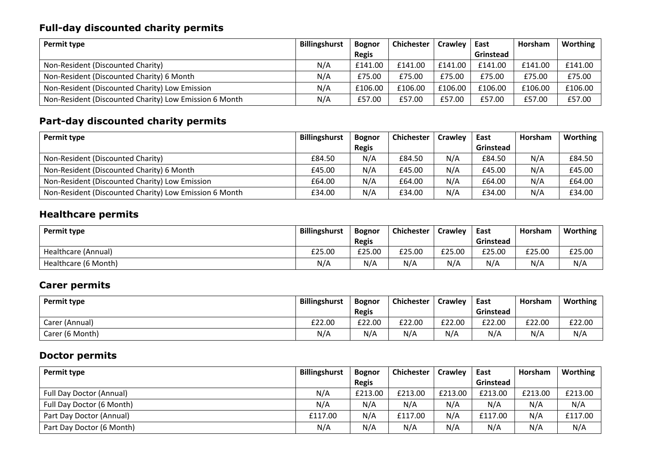#### **Full-day discounted charity permits**

| Permit type                                            | <b>Billingshurst</b> | <b>Bognor</b> | <b>Chichester</b> | Crawley | East      | Horsham | Worthing |
|--------------------------------------------------------|----------------------|---------------|-------------------|---------|-----------|---------|----------|
|                                                        |                      | <b>Regis</b>  |                   |         | Grinstead |         |          |
| Non-Resident (Discounted Charity)                      | N/A                  | £141.00       | £141.00           | £141.00 | £141.00   | £141.00 | £141.00  |
| Non-Resident (Discounted Charity) 6 Month              | N/A                  | £75.00        | £75.00            | £75.00  | £75.00    | £75.00  | £75.00   |
| Non-Resident (Discounted Charity) Low Emission         | N/A                  | £106.00       | £106.00           | £106.00 | £106.00   | £106.00 | £106.00  |
| Non-Resident (Discounted Charity) Low Emission 6 Month | N/A                  | £57.00        | £57.00            | £57.00  | £57.00    | £57.00  | £57.00   |

#### **Part-day discounted charity permits**

| Permit type                                            | <b>Billingshurst</b> | <b>Bognor</b> | <b>Chichester</b> | Crawley | East      | Horsham | Worthing |
|--------------------------------------------------------|----------------------|---------------|-------------------|---------|-----------|---------|----------|
|                                                        |                      | <b>Regis</b>  |                   |         | Grinstead |         |          |
| Non-Resident (Discounted Charity)                      | £84.50               | N/A           | £84.50            | N/A     | £84.50    | N/A     | £84.50   |
| Non-Resident (Discounted Charity) 6 Month              | £45.00               | N/A           | £45.00            | N/A     | £45.00    | N/A     | £45.00   |
| Non-Resident (Discounted Charity) Low Emission         | £64.00               | N/A           | £64.00            | N/A     | £64.00    | N/A     | £64.00   |
| Non-Resident (Discounted Charity) Low Emission 6 Month | £34.00               | N/A           | £34.00            | N/A     | £34.00    | N/A     | £34.00   |

## **Healthcare permits**

| Permit type          | <b>Billingshurst</b> | <b>Bognor</b> | <b>Chichester</b> | Crawley | East      | <b>Horsham</b> | <b>Worthing</b> |
|----------------------|----------------------|---------------|-------------------|---------|-----------|----------------|-----------------|
|                      |                      | <b>Regis</b>  |                   |         | Grinstead |                |                 |
| Healthcare (Annual)  | £25.00               | £25.00        | £25.00            | £25.00  | £25.00    | £25.00         | £25.00          |
| Healthcare (6 Month) | N/A                  | N/A           | N/A               | N/A     | N/A       | N/A            | N/A             |

#### **Carer permits**

| Permit type     | <b>Billingshurst</b> | <b>Bognor</b> | <b>Chichester</b> | <b>Crawley</b> | East      | Horsham | Worthing |
|-----------------|----------------------|---------------|-------------------|----------------|-----------|---------|----------|
|                 |                      | <b>Regis</b>  |                   |                | Grinstead |         |          |
| Carer (Annual)  | £22.00               | £22.00        | £22.00            | £22.00         | £22.00    | £22.00  | £22.00   |
| Carer (6 Month) | N/A                  | N/A           | N/A               | N/A            | N/A       | N/A     | N/A      |

#### **Doctor permits**

| Permit type                     | <b>Billingshurst</b> | <b>Bognor</b> | <b>Chichester</b> | <b>Crawley</b> | East      | Horsham | Worthing |
|---------------------------------|----------------------|---------------|-------------------|----------------|-----------|---------|----------|
|                                 |                      | <b>Regis</b>  |                   |                | Grinstead |         |          |
| <b>Full Day Doctor (Annual)</b> | N/A                  | £213.00       | £213.00           | £213.00        | £213.00   | £213.00 | £213.00  |
| Full Day Doctor (6 Month)       | N/A                  | N/A           | N/A               | N/A            | N/A       | N/A     | N/A      |
| Part Day Doctor (Annual)        | £117.00              | N/A           | £117.00           | N/A            | £117.00   | N/A     | £117.00  |
| Part Day Doctor (6 Month)       | N/A                  | N/A           | N/A               | N/A            | N/A       | N/A     | N/A      |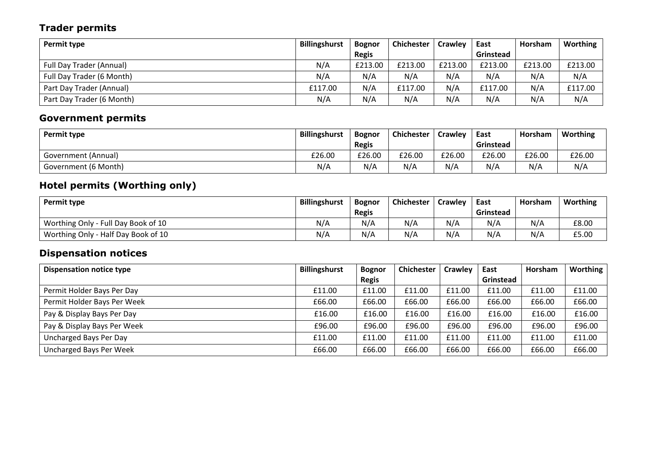## **Trader permits**

| Permit type                     | <b>Billingshurst</b> | <b>Bognor</b> | <b>Chichester</b> | <b>Crawley</b> | East      | Horsham | Worthing |
|---------------------------------|----------------------|---------------|-------------------|----------------|-----------|---------|----------|
|                                 |                      | <b>Regis</b>  |                   |                | Grinstead |         |          |
| <b>Full Day Trader (Annual)</b> | N/A                  | £213.00       | £213.00           | £213.00        | £213.00   | £213.00 | £213.00  |
| Full Day Trader (6 Month)       | N/A                  | N/A           | N/A               | N/A            | N/A       | N/A     | N/A      |
| Part Day Trader (Annual)        | £117.00              | N/A           | £117.00           | N/A            | £117.00   | N/A     | £117.00  |
| Part Day Trader (6 Month)       | N/A                  | N/A           | N/A               | N/A            | N/A       | N/A     | N/A      |

## **Government permits**

| Permit type          | <b>Billingshurst</b> | <b>Bognor</b> | <b>Chichester</b> | <b>Crawley</b> | East      | Horsham | Worthing |
|----------------------|----------------------|---------------|-------------------|----------------|-----------|---------|----------|
|                      |                      | <b>Regis</b>  |                   |                | Grinstead |         |          |
| Government (Annual)  | £26.00               | £26.00        | £26.00            | £26.00         | £26.00    | £26.00  | £26.00   |
| Government (6 Month) | N/A                  | N/A           | N/A               | N/A            | N/A       | N/A     | N/A      |

#### **Hotel permits (Worthing only)**

| Permit type                         | <b>Billingshurst</b> | <b>Bognor</b> | <b>Chichester</b> | <b>Crawley</b> | East      | Horsham | Worthing |
|-------------------------------------|----------------------|---------------|-------------------|----------------|-----------|---------|----------|
|                                     |                      | <b>Regis</b>  |                   |                | Grinstead |         |          |
| Worthing Only - Full Day Book of 10 | N/A                  | N/A           | N/A               | N/A            | N/A       | N/A     | £8.00    |
| Worthing Only - Half Day Book of 10 | N/A                  | N/A           | N/A               | N/A            | N/A       | N/A     | £5.00    |

## **Dispensation notices**

| <b>Dispensation notice type</b> | <b>Billingshurst</b> | <b>Bognor</b> | <b>Chichester</b> | <b>Crawley</b> | East      | Horsham | Worthing |
|---------------------------------|----------------------|---------------|-------------------|----------------|-----------|---------|----------|
|                                 |                      | <b>Regis</b>  |                   |                | Grinstead |         |          |
| Permit Holder Bays Per Day      | £11.00               | £11.00        | £11.00            | £11.00         | £11.00    | £11.00  | £11.00   |
| Permit Holder Bays Per Week     | £66.00               | £66.00        | £66.00            | £66.00         | £66.00    | £66.00  | £66.00   |
| Pay & Display Bays Per Day      | £16.00               | £16.00        | £16.00            | £16.00         | £16.00    | £16.00  | £16.00   |
| Pay & Display Bays Per Week     | £96.00               | £96.00        | £96.00            | £96.00         | £96.00    | £96.00  | £96.00   |
| Uncharged Bays Per Day          | £11.00               | £11.00        | £11.00            | £11.00         | £11.00    | £11.00  | £11.00   |
| Uncharged Bays Per Week         | £66.00               | £66.00        | £66.00            | £66.00         | £66.00    | £66.00  | £66.00   |